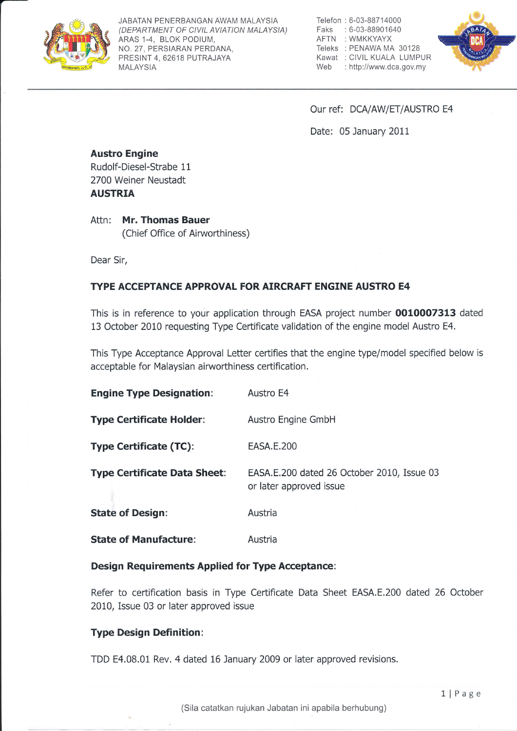

JABATAN PENERBANGAN AWAM MALAYSIA (DEPARTMENT OF CIVIL AVIATION MALAYSIA) ARAS 1-4, BLOK PODIUM, NO. 27, PERSIARAN PERDANA, PRESINT 4, 62618 PUTRAJAYA MALAYSIA

Telefon : 6-03-88714000 Faks :6-03-88901640 AFTN :WMKKYAYX Teleks :PENAWAMA 30128 Kawat : CIVIL KUALA LUMPUR Web : http://www.dca.gov.my



Our ref: DCA/AW/ET/AUSTRO E4

Date: 05 January 2011

#### Austro Engine Rudolf-Diesel-Strabe 11 2700 Weiner Neustadt

AUSTRIA

Attn: Mr. Thomas Bauer (Chief Office of Airworthiness)

Dear Sir,

## TYPE ACCEPTANCE APPROVAL FOR AIRCRAFT ENGINE AUSTRO E4

This is in reference to your application through EASA project number 0010007313 dated 13 October 2010 requesting Type Certificate validation of the engine model Austro E4,

This Type Acceptance Approval Letter certifies that the engine type/model specified below is acceptable for Malaysian airworthiness certification.

| <b>Engine Type Designation:</b>     | Austro E4                                                             |
|-------------------------------------|-----------------------------------------------------------------------|
| <b>Type Certificate Holder:</b>     | Austro Engine GmbH                                                    |
| <b>Type Certificate (TC):</b>       | EASA.E.200                                                            |
| <b>Type Certificate Data Sheet:</b> | EASA.E.200 dated 26 October 2010, Issue 03<br>or later approved issue |
| <b>State of Design:</b>             | Austria                                                               |
| <b>State of Manufacture:</b>        | Austria                                                               |

### Design Requirements Applied for Type Acceptance:

Refer to certification basis in Type Certificate Data Sheet EASA.E.200 dated 26 October 2010, Issue 03 or later approved issue

# Type Design Definition :

TDD E4,08.01 Rev, 4 dated 16 January 2009 or later approved revisions.